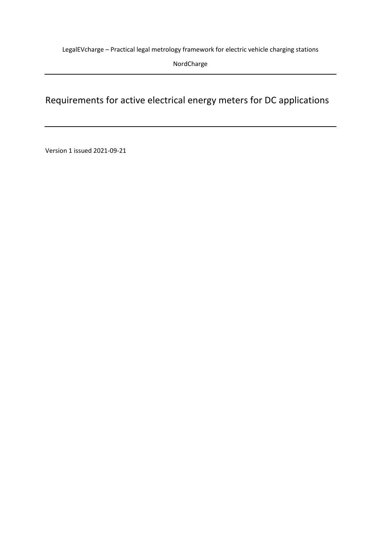LegalEVcharge – Practical legal metrology framework for electric vehicle charging stations

NordCharge

# Requirements for active electrical energy meters for DC applications

Version 1 issued 2021-09-21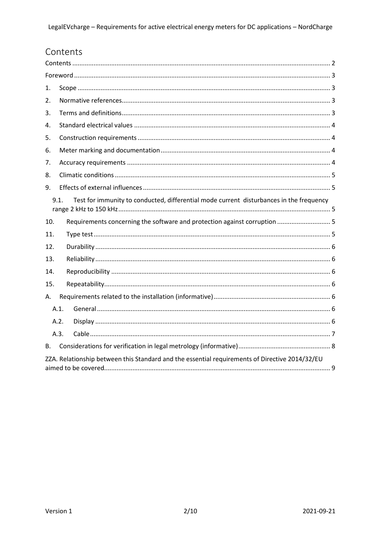# <span id="page-1-0"></span>Contents

| 1.  |                                                                                                 |                                                                           |  |  |  |  |
|-----|-------------------------------------------------------------------------------------------------|---------------------------------------------------------------------------|--|--|--|--|
| 2.  |                                                                                                 |                                                                           |  |  |  |  |
| 3.  |                                                                                                 |                                                                           |  |  |  |  |
| 4.  |                                                                                                 |                                                                           |  |  |  |  |
| 5.  |                                                                                                 |                                                                           |  |  |  |  |
| 6.  |                                                                                                 |                                                                           |  |  |  |  |
| 7.  |                                                                                                 |                                                                           |  |  |  |  |
| 8.  |                                                                                                 |                                                                           |  |  |  |  |
| 9.  |                                                                                                 |                                                                           |  |  |  |  |
|     | Test for immunity to conducted, differential mode current disturbances in the frequency<br>9.1. |                                                                           |  |  |  |  |
| 10. |                                                                                                 | Requirements concerning the software and protection against corruption  5 |  |  |  |  |
| 11. |                                                                                                 |                                                                           |  |  |  |  |
| 12. |                                                                                                 |                                                                           |  |  |  |  |
| 13. |                                                                                                 |                                                                           |  |  |  |  |
| 14. |                                                                                                 |                                                                           |  |  |  |  |
| 15. |                                                                                                 |                                                                           |  |  |  |  |
| А.  |                                                                                                 |                                                                           |  |  |  |  |
|     | A.1.                                                                                            |                                                                           |  |  |  |  |
|     | A.2.                                                                                            |                                                                           |  |  |  |  |
|     | A.3.                                                                                            |                                                                           |  |  |  |  |
| B.  |                                                                                                 |                                                                           |  |  |  |  |
|     | ZZA. Relationship between this Standard and the essential requirements of Directive 2014/32/EU  |                                                                           |  |  |  |  |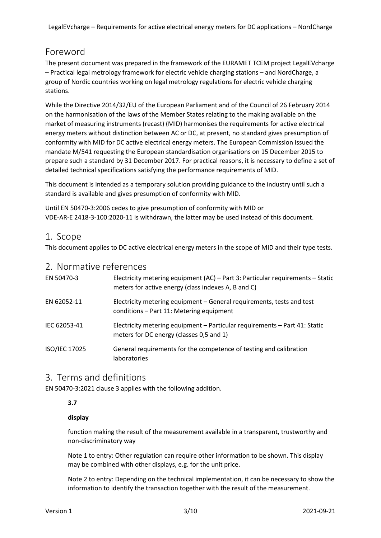LegalEVcharge – Requirements for active electrical energy meters for DC applications – NordCharge

## <span id="page-2-0"></span>Foreword

The present document was prepared in the framework of the EURAMET TCEM project LegalEVcharge – Practical legal metrology framework for electric vehicle charging stations – and NordCharge, a group of Nordic countries working on legal metrology regulations for electric vehicle charging stations.

While the Directive 2014/32/EU of the European Parliament and of the Council of 26 February 2014 on the harmonisation of the laws of the Member States relating to the making available on the market of measuring instruments (recast) (MID) harmonises the requirements for active electrical energy meters without distinction between AC or DC, at present, no standard gives presumption of conformity with MID for DC active electrical energy meters. The European Commission issued the mandate M/541 requesting the European standardisation organisations on 15 December 2015 to prepare such a standard by 31 December 2017. For practical reasons, it is necessary to define a set of detailed technical specifications satisfying the performance requirements of MID.

This document is intended as a temporary solution providing guidance to the industry until such a standard is available and gives presumption of conformity with MID.

Until EN 50470-3:2006 cedes to give presumption of conformity with MID or VDE-AR-E 2418-3-100:2020-11 is withdrawn, the latter may be used instead of this document.

#### <span id="page-2-1"></span>1. Scope

This document applies to DC active electrical energy meters in the scope of MID and their type tests.

#### <span id="page-2-2"></span>2. Normative references

| EN 50470-3    | Electricity metering equipment (AC) - Part 3: Particular requirements - Static<br>meters for active energy (class indexes A, B and C) |
|---------------|---------------------------------------------------------------------------------------------------------------------------------------|
| EN 62052-11   | Electricity metering equipment – General requirements, tests and test<br>conditions - Part 11: Metering equipment                     |
| IEC 62053-41  | Electricity metering equipment - Particular requirements - Part 41: Static<br>meters for DC energy (classes 0,5 and 1)                |
| ISO/IEC 17025 | General requirements for the competence of testing and calibration<br>laboratories                                                    |

#### <span id="page-2-3"></span>3. Terms and definitions

EN 50470-3:2021 clause 3 applies with the following addition.

#### **3.7**

#### **display**

function making the result of the measurement available in a transparent, trustworthy and non-discriminatory way

Note 1 to entry: Other regulation can require other information to be shown. This display may be combined with other displays, e.g. for the unit price.

Note 2 to entry: Depending on the technical implementation, it can be necessary to show the information to identify the transaction together with the result of the measurement.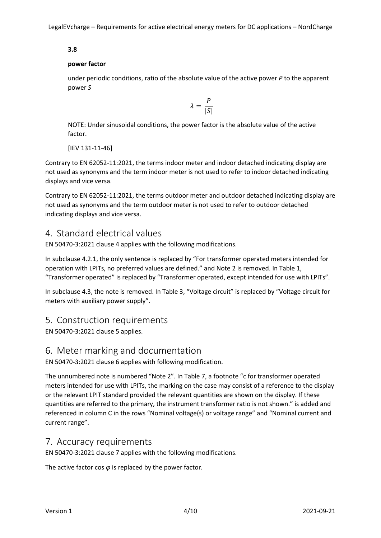#### **3.8**

#### **power factor**

under periodic conditions, ratio of the absolute value of the active power *P* to the apparent power *S*

$$
\lambda = \frac{P}{|S|}
$$

NOTE: Under sinusoidal conditions, the power factor is the absolute value of the active factor.

[IEV 131-11-46]

Contrary to EN 62052-11:2021, the terms indoor meter and indoor detached indicating display are not used as synonyms and the term indoor meter is not used to refer to indoor detached indicating displays and vice versa.

Contrary to EN 62052-11:2021, the terms outdoor meter and outdoor detached indicating display are not used as synonyms and the term outdoor meter is not used to refer to outdoor detached indicating displays and vice versa.

### <span id="page-3-0"></span>4. Standard electrical values

EN 50470-3:2021 clause 4 applies with the following modifications.

In subclause 4.2.1, the only sentence is replaced by "For transformer operated meters intended for operation with LPITs, no preferred values are defined." and Note 2 is removed. In Table 1, "Transformer operated" is replaced by "Transformer operated, except intended for use with LPITs".

In subclause 4.3, the note is removed. In Table 3, "Voltage circuit" is replaced by "Voltage circuit for meters with auxiliary power supply".

#### <span id="page-3-1"></span>5. Construction requirements

EN 50470-3:2021 clause 5 applies.

#### <span id="page-3-2"></span>6. Meter marking and documentation

EN 50470-3:2021 clause 6 applies with following modification.

The unnumbered note is numbered "Note 2". In Table 7, a footnote "c for transformer operated meters intended for use with LPITs, the marking on the case may consist of a reference to the display or the relevant LPIT standard provided the relevant quantities are shown on the display. If these quantities are referred to the primary, the instrument transformer ratio is not shown." is added and referenced in column C in the rows "Nominal voltage(s) or voltage range" and "Nominal current and current range".

#### <span id="page-3-3"></span>7. Accuracy requirements

EN 50470-3:2021 clause 7 applies with the following modifications.

The active factor cos *φ* is replaced by the power factor.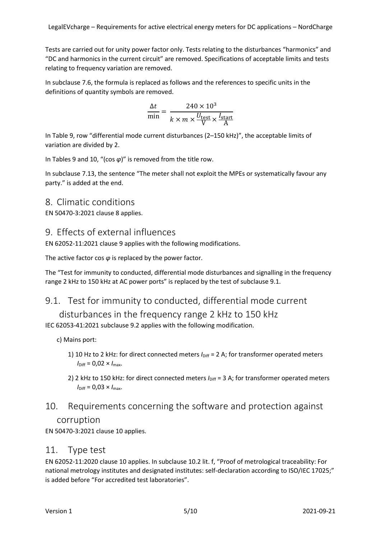Tests are carried out for unity power factor only. Tests relating to the disturbances "harmonics" and "DC and harmonics in the current circuit" are removed. Specifications of acceptable limits and tests relating to frequency variation are removed.

In subclause 7.6, the formula is replaced as follows and the references to specific units in the definitions of quantity symbols are removed.

$$
\frac{\Delta t}{\min} = \frac{240 \times 10^3}{k \times m \times \frac{U_{\text{test}}}{V} \times \frac{I_{\text{start}}}{A}}
$$

In Table 9, row "differential mode current disturbances (2–150 kHz)", the acceptable limits of variation are divided by 2.

In Tables 9 and 10, "(cos *φ*)" is removed from the title row.

In subclause 7.13, the sentence "The meter shall not exploit the MPEs or systematically favour any party." is added at the end.

#### <span id="page-4-0"></span>8. Climatic conditions

EN 50470-3:2021 clause 8 applies.

### <span id="page-4-1"></span>9. Effects of external influences

EN 62052-11:2021 clause 9 applies with the following modifications.

The active factor cos *φ* is replaced by the power factor.

The "Test for immunity to conducted, differential mode disturbances and signalling in the frequency range 2 kHz to 150 kHz at AC power ports" is replaced by the test of subclause 9.1.

### <span id="page-4-2"></span>9.1. Test for immunity to conducted, differential mode current

disturbances in the frequency range 2 kHz to 150 kHz IEC 62053-41:2021 subclause 9.2 applies with the following modification.

c) Mains port:

- 1) 10 Hz to 2 kHz: for direct connected meters  $I_{\text{Diff}}$  = 2 A; for transformer operated meters  $I_{\text{Diff}} = 0.02 \times I_{\text{max}}$ .
- 2) 2 kHz to 150 kHz: for direct connected meters *I*<sub>Diff</sub> = 3 A; for transformer operated meters  $I_{\text{Diff}} = 0.03 \times I_{\text{max}}$ .

# <span id="page-4-3"></span>10. Requirements concerning the software and protection against corruption

EN 50470-3:2021 clause 10 applies.

#### <span id="page-4-4"></span>11. Type test

EN 62052-11:2020 clause 10 applies. In subclause 10.2 lit. f, "Proof of metrological traceability: For national metrology institutes and designated institutes: self-declaration according to ISO/IEC 17025;" is added before "For accredited test laboratories".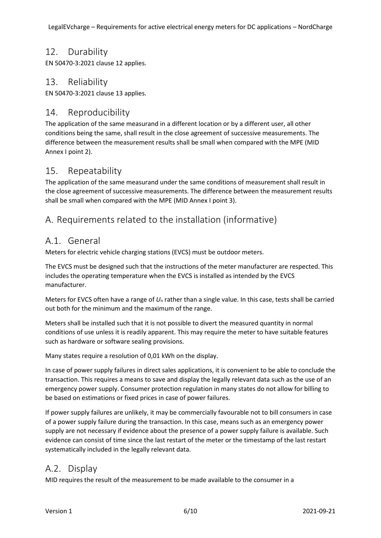### <span id="page-5-0"></span>12. Durability

EN 50470-3:2021 clause 12 applies.

### <span id="page-5-1"></span>13. Reliability

EN 50470-3:2021 clause 13 applies.

### <span id="page-5-2"></span>14. Reproducibility

The application of the same measurand in a different location or by a different user, all other conditions being the same, shall result in the close agreement of successive measurements. The difference between the measurement results shall be small when compared with the MPE (MID Annex I point 2).

### <span id="page-5-3"></span>15. Repeatability

The application of the same measurand under the same conditions of measurement shall result in the close agreement of successive measurements. The difference between the measurement results shall be small when compared with the MPE (MID Annex I point 3).

## <span id="page-5-4"></span>A. Requirements related to the installation (informative)

### <span id="page-5-5"></span>A.1. General

Meters for electric vehicle charging stations (EVCS) must be outdoor meters.

The EVCS must be designed such that the instructions of the meter manufacturer are respected. This includes the operating temperature when the EVCS is installed as intended by the EVCS manufacturer.

Meters for EVCS often have a range of  $U_n$  rather than a single value. In this case, tests shall be carried out both for the minimum and the maximum of the range.

Meters shall be installed such that it is not possible to divert the measured quantity in normal conditions of use unless it is readily apparent. This may require the meter to have suitable features such as hardware or software sealing provisions.

Many states require a resolution of 0,01 kWh on the display.

In case of power supply failures in direct sales applications, it is convenient to be able to conclude the transaction. This requires a means to save and display the legally relevant data such as the use of an emergency power supply. Consumer protection regulation in many states do not allow for billing to be based on estimations or fixed prices in case of power failures.

If power supply failures are unlikely, it may be commercially favourable not to bill consumers in case of a power supply failure during the transaction. In this case, means such as an emergency power supply are not necessary if evidence about the presence of a power supply failure is available. Such evidence can consist of time since the last restart of the meter or the timestamp of the last restart systematically included in the legally relevant data.

## <span id="page-5-6"></span>A.2. Display

MID requires the result of the measurement to be made available to the consumer in a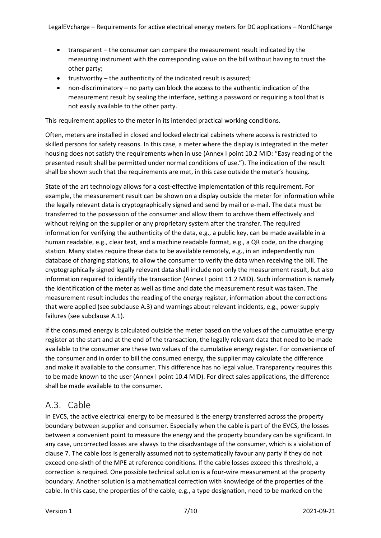- transparent the consumer can compare the measurement result indicated by the measuring instrument with the corresponding value on the bill without having to trust the other party;
- trustworthy the authenticity of the indicated result is assured;
- non-discriminatory no party can block the access to the authentic indication of the measurement result by sealing the interface, setting a password or requiring a tool that is not easily available to the other party.

This requirement applies to the meter in its intended practical working conditions.

Often, meters are installed in closed and locked electrical cabinets where access is restricted to skilled persons for safety reasons. In this case, a meter where the display is integrated in the meter housing does not satisfy the requirements when in use (Annex I point 10.2 MID: "Easy reading of the presented result shall be permitted under normal conditions of use."). The indication of the result shall be shown such that the requirements are met, in this case outside the meter's housing.

State of the art technology allows for a cost-effective implementation of this requirement. For example, the measurement result can be shown on a display outside the meter for information while the legally relevant data is cryptographically signed and send by mail or e-mail. The data must be transferred to the possession of the consumer and allow them to archive them effectively and without relying on the supplier or any proprietary system after the transfer. The required information for verifying the authenticity of the data, e.g., a public key, can be made available in a human readable, e.g., clear text, and a machine readable format, e.g., a QR code, on the charging station. Many states require these data to be available remotely, e.g., in an independently run database of charging stations, to allow the consumer to verify the data when receiving the bill. The cryptographically signed legally relevant data shall include not only the measurement result, but also information required to identify the transaction (Annex I point 11.2 MID). Such information is namely the identification of the meter as well as time and date the measurement result was taken. The measurement result includes the reading of the energy register, information about the corrections that were applied (see subclause A.3) and warnings about relevant incidents, e.g., power supply failures (see subclause A.1).

If the consumed energy is calculated outside the meter based on the values of the cumulative energy register at the start and at the end of the transaction, the legally relevant data that need to be made available to the consumer are these two values of the cumulative energy register. For convenience of the consumer and in order to bill the consumed energy, the supplier may calculate the difference and make it available to the consumer. This difference has no legal value. Transparency requires this to be made known to the user (Annex I point 10.4 MID). For direct sales applications, the difference shall be made available to the consumer.

#### <span id="page-6-0"></span>A.3. Cable

In EVCS, the active electrical energy to be measured is the energy transferred across the property boundary between supplier and consumer. Especially when the cable is part of the EVCS, the losses between a convenient point to measure the energy and the property boundary can be significant. In any case, uncorrected losses are always to the disadvantage of the consumer, which is a violation of clause 7. The cable loss is generally assumed not to systematically favour any party if they do not exceed one-sixth of the MPE at reference conditions. If the cable losses exceed this threshold, a correction is required. One possible technical solution is a four-wire measurement at the property boundary. Another solution is a mathematical correction with knowledge of the properties of the cable. In this case, the properties of the cable, e.g., a type designation, need to be marked on the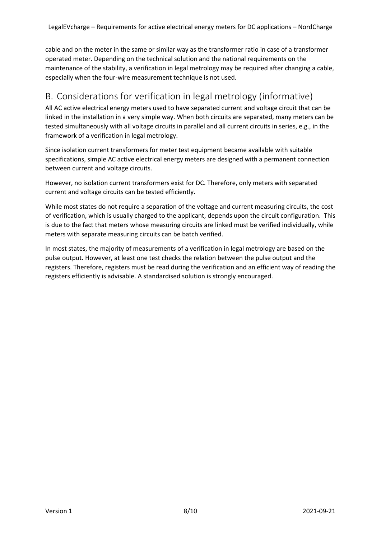cable and on the meter in the same or similar way as the transformer ratio in case of a transformer operated meter. Depending on the technical solution and the national requirements on the maintenance of the stability, a verification in legal metrology may be required after changing a cable, especially when the four-wire measurement technique is not used.

# <span id="page-7-0"></span>B. Considerations for verification in legal metrology (informative)

All AC active electrical energy meters used to have separated current and voltage circuit that can be linked in the installation in a very simple way. When both circuits are separated, many meters can be tested simultaneously with all voltage circuits in parallel and all current circuits in series, e.g., in the framework of a verification in legal metrology.

Since isolation current transformers for meter test equipment became available with suitable specifications, simple AC active electrical energy meters are designed with a permanent connection between current and voltage circuits.

However, no isolation current transformers exist for DC. Therefore, only meters with separated current and voltage circuits can be tested efficiently.

While most states do not require a separation of the voltage and current measuring circuits, the cost of verification, which is usually charged to the applicant, depends upon the circuit configuration. This is due to the fact that meters whose measuring circuits are linked must be verified individually, while meters with separate measuring circuits can be batch verified.

In most states, the majority of measurements of a verification in legal metrology are based on the pulse output. However, at least one test checks the relation between the pulse output and the registers. Therefore, registers must be read during the verification and an efficient way of reading the registers efficiently is advisable. A standardised solution is strongly encouraged.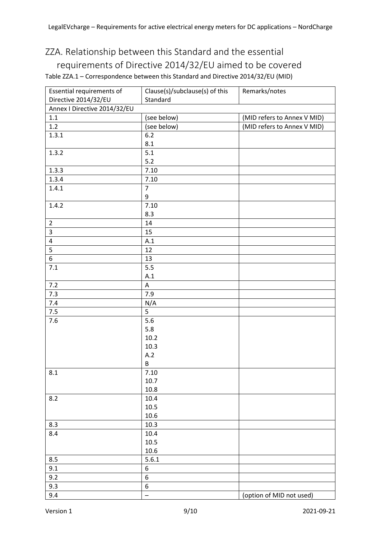# <span id="page-8-0"></span>ZZA. Relationship between this Standard and the essential requirements of Directive 2014/32/EU aimed to be covered Table ZZA.1 – Correspondence between this Standard and Directive 2014/32/EU (MID)

| Essential requirements of    | Clause(s)/subclause(s) of this | Remarks/notes               |
|------------------------------|--------------------------------|-----------------------------|
| Directive 2014/32/EU         | Standard                       |                             |
| Annex I Directive 2014/32/EU |                                |                             |
| 1.1                          | (see below)                    | (MID refers to Annex V MID) |
| 1.2                          | (see below)                    | (MID refers to Annex V MID) |
| 1.3.1                        | $6.2$                          |                             |
|                              | 8.1                            |                             |
| 1.3.2                        | 5.1                            |                             |
|                              | $5.2$                          |                             |
| 1.3.3                        | 7.10                           |                             |
| 1.3.4                        | 7.10                           |                             |
| 1.4.1                        | $\overline{7}$                 |                             |
|                              | $\boldsymbol{9}$               |                             |
| 1.4.2                        | 7.10                           |                             |
|                              | 8.3                            |                             |
| $\overline{2}$               | 14                             |                             |
| $\mathsf{3}$                 | 15                             |                             |
| $\overline{4}$               | A.1                            |                             |
| 5                            | 12                             |                             |
| $\,$ 6 $\,$                  | 13                             |                             |
| 7.1                          | 5.5                            |                             |
|                              | A.1                            |                             |
| $7.2$                        | $\boldsymbol{\mathsf{A}}$      |                             |
| 7.3                          | 7.9                            |                             |
| $7.4$                        | N/A                            |                             |
| $7.5\,$                      | 5                              |                             |
| 7.6                          | 5.6                            |                             |
|                              | 5.8                            |                             |
|                              | 10.2                           |                             |
|                              | 10.3                           |                             |
|                              | A.2                            |                             |
|                              | $\sf B$                        |                             |
| $\pmb{8.1}$                  | $7.10\,$                       |                             |
|                              | 10.7                           |                             |
|                              | 10.8                           |                             |
| 8.2                          | 10.4                           |                             |
|                              | 10.5                           |                             |
|                              | 10.6                           |                             |
| 8.3                          | 10.3                           |                             |
| 8.4                          | 10.4                           |                             |
|                              | 10.5                           |                             |
|                              | 10.6                           |                             |
| 8.5                          | 5.6.1                          |                             |
| 9.1                          | 6                              |                             |
| 9.2                          | 6                              |                             |
| 9.3                          | $\boldsymbol{6}$               |                             |
| 9.4                          | $\qquad \qquad -$              | (option of MID not used)    |